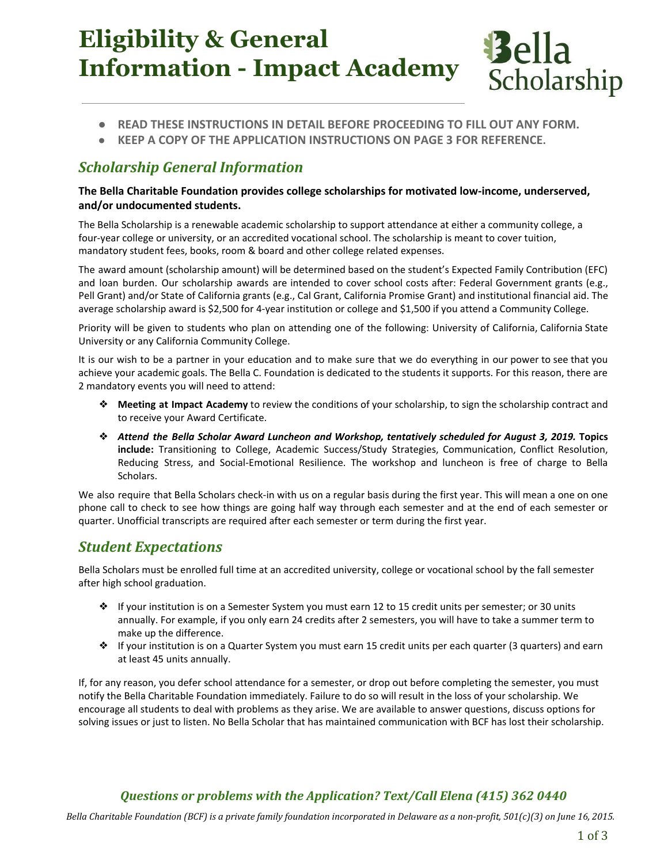# **Eligibility & General Information - Impact Academy**



- **● READ THESE INSTRUCTIONS IN DETAIL BEFORE PROCEEDING TO FILL OUT ANY FORM.**
- **● KEEP A COPY OF THE APPLICATION INSTRUCTIONS ON PAGE 3 FOR REFERENCE.**

#### *Scholarship General Information*

#### **The Bella Charitable Foundation provides college scholarships for motivated low-income, underserved, and/or undocumented students.**

The Bella Scholarship is a renewable academic scholarship to support attendance at either a community college, a four-year college or university, or an accredited vocational school. The scholarship is meant to cover tuition, mandatory student fees, books, room & board and other college related expenses.

The award amount (scholarship amount) will be determined based on the student's Expected Family Contribution (EFC) and loan burden. Our scholarship awards are intended to cover school costs after: Federal Government grants (e.g., Pell Grant) and/or State of California grants (e.g., Cal Grant, California Promise Grant) and institutional financial aid. The average scholarship award is \$2,500 for 4-year institution or college and \$1,500 if you attend a Community College.

Priority will be given to students who plan on attending one of the following: University of California, California State University or any California Community College.

It is our wish to be a partner in your education and to make sure that we do everything in our power to see that you achieve your academic goals. The Bella C. Foundation is dedicated to the students it supports. For this reason, there are 2 mandatory events you will need to attend:

- ❖ **Meeting at Impact Academy** to review the conditions of your scholarship, to sign the scholarship contract and to receive your Award Certificate.
- ❖ *Attend the Bella Scholar Award Luncheon and Workshop, tentatively scheduled for August 3, 2019.* **Topics include:** Transitioning to College, Academic Success/Study Strategies, Communication, Conflict Resolution, Reducing Stress, and Social-Emotional Resilience. The workshop and luncheon is free of charge to Bella Scholars.

We also require that Bella Scholars check-in with us on a regular basis during the first year. This will mean a one on one phone call to check to see how things are going half way through each semester and at the end of each semester or quarter. Unofficial transcripts are required after each semester or term during the first year.

#### *Student Expectations*

Bella Scholars must be enrolled full time at an accredited university, college or vocational school by the fall semester after high school graduation.

- ❖ If your institution is on a Semester System you must earn 12 to 15 credit units per semester; or 30 units annually. For example, if you only earn 24 credits after 2 semesters, you will have to take a summer term to make up the difference.
- ❖ If your institution is on a Quarter System you must earn 15 credit units per each quarter (3 quarters) and earn at least 45 units annually.

If, for any reason, you defer school attendance for a semester, or drop out before completing the semester, you must notify the Bella Charitable Foundation immediately. Failure to do so will result in the loss of your scholarship. We encourage all students to deal with problems as they arise. We are available to answer questions, discuss options for solving issues or just to listen. No Bella Scholar that has maintained communication with BCF has lost their scholarship.

#### *Questions or problems with the Application? Text/Call Elena (415) 362 0440*

*Bella Charitable Foundation (BCF) is a private family foundation incorporated in Delaware as a non-profit, 501(c)(3) on June 16, 2015.*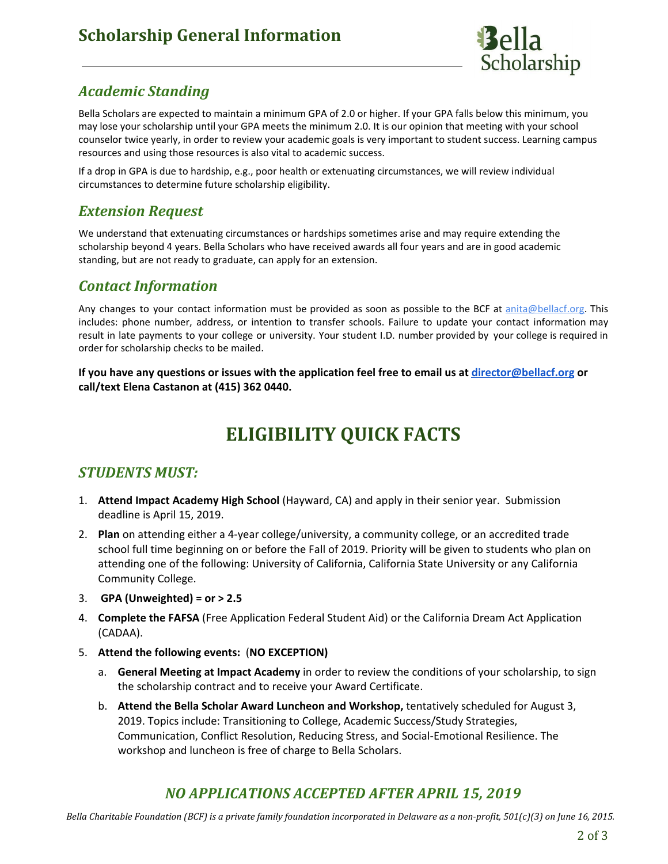### **Scholarship General Information**



#### *Academic Standing*

Bella Scholars are expected to maintain a minimum GPA of 2.0 or higher. If your GPA falls below this minimum, you may lose your scholarship until your GPA meets the minimum 2.0. It is our opinion that meeting with your school counselor twice yearly, in order to review your academic goals is very important to student success. Learning campus resources and using those resources is also vital to academic success.

If a drop in GPA is due to hardship, e.g., poor health or extenuating circumstances, we will review individual circumstances to determine future scholarship eligibility.

#### *Extension Request*

We understand that extenuating circumstances or hardships sometimes arise and may require extending the scholarship beyond 4 years. Bella Scholars who have received awards all four years and are in good academic standing, but are not ready to graduate, can apply for an extension.

#### *Contact Information*

Any changes to your contact information must be provided as soon as possible to the BCF at [anita@bellacf.org.](mailto:anita@bellacf.org) This includes: phone number, address, or intention to transfer schools. Failure to update your contact information may result in late payments to your college or university. Your student I.D. number provided by your college is required in order for scholarship checks to be mailed.

If you have any questions or issues with the application feel free to email us at [director@bellacf.org](mailto:director@bellacf.org) or **call/text Elena Castanon at (415) 362 0440.**

## **ELIGIBILITY QUICK FACTS**

#### *STUDENTS MUST:*

- 1. **Attend Impact Academy High School** (Hayward, CA) and apply in their senior year. Submission deadline is April 15, 2019.
- 2. **Plan** on attending either a 4-year college/university, a community college, or an accredited trade school full time beginning on or before the Fall of 2019. Priority will be given to students who plan on attending one of the following: University of California, California State University or any California Community College.
- 3. **GPA (Unweighted) = or > 2.5**
- 4. **Complete the FAFSA** (Free Application Federal Student Aid) or the California Dream Act Application (CADAA).
- 5. **Attend the following events:** (**NO EXCEPTION)**
	- a. **General Meeting at Impact Academy** in order to review the conditions of your scholarship, to sign the scholarship contract and to receive your Award Certificate.
	- b. **Attend the Bella Scholar Award Luncheon and Workshop,** tentatively scheduled for August 3, 2019. Topics include: Transitioning to College, Academic Success/Study Strategies, Communication, Conflict Resolution, Reducing Stress, and Social-Emotional Resilience. The workshop and luncheon is free of charge to Bella Scholars.

### *NO APPLICATIONS ACCEPTED AFTER APRIL 15, 2019*

*Bella Charitable Foundation (BCF) is a private family foundation incorporated in Delaware as a non-profit, 501(c)(3) on June 16, 2015.*